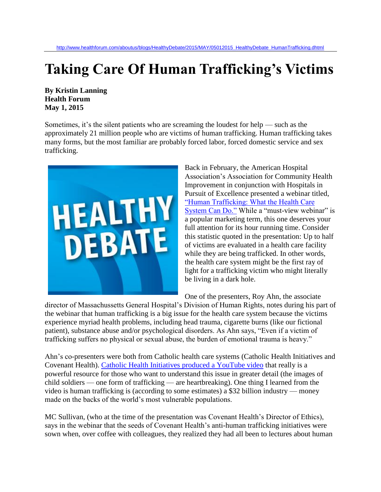## **Taking Care Of Human Trafficking's Victims**

**By Kristin Lanning Health Forum May 1, 2015**

Sometimes, it's the silent patients who are screaming the loudest for help — such as the approximately 21 million people who are victims of human trafficking. Human trafficking takes many forms, but the most familiar are probably forced labor, forced domestic service and sex trafficking.



Back in February, the American Hospital Association's Association for Community Health Improvement in conjunction with Hospitals in Pursuit of Excellence presented a webinar titled, ["Human Trafficking: What the Health Care](http://www.hpoe.org/resources/hpoe-live-webinars/1785)  [System Can Do."](http://www.hpoe.org/resources/hpoe-live-webinars/1785) While a "must-view webinar" is a popular marketing term, this one deserves your full attention for its hour running time. Consider this statistic quoted in the presentation: Up to half of victims are evaluated in a health care facility while they are being trafficked. In other words, the health care system might be the first ray of light for a trafficking victim who might literally be living in a dark hole.

One of the presenters, Roy Ahn, the associate

director of Massachussetts General Hospital's Division of Human Rights, notes during his part of the webinar that human trafficking is a big issue for the health care system because the victims experience myriad health problems, including head trauma, cigarette burns (like our fictional patient), substance abuse and/or psychological disorders. As Ahn says, "Even if a victim of trafficking suffers no physical or sexual abuse, the burden of emotional trauma is heavy."

Ahn's co-presenters were both from Catholic health care systems (Catholic Health Initiatives and Covenant Health). [Catholic Health Initiatives produced a YouTube video](https://www.youtube.com/watch?v=jyOCMc4wjn0) that really is a powerful resource for those who want to understand this issue in greater detail (the images of child soldiers — one form of trafficking — are heartbreaking). One thing I learned from the video is human trafficking is (according to some estimates) a \$32 billion industry — money made on the backs of the world's most vulnerable populations.

MC Sullivan, (who at the time of the presentation was Covenant Health's Director of Ethics), says in the webinar that the seeds of Covenant Health's anti-human trafficking initiatives were sown when, over coffee with colleagues, they realized they had all been to lectures about human